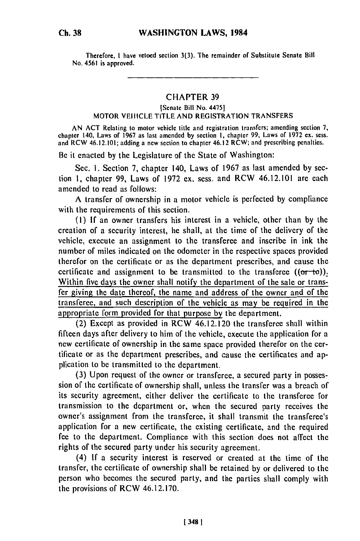Therefore. **I** have vetoed section 3(3). The remainder of Substitute Senate Bill No. 4561 is approved.

## CHAPTER **39**

## **(Senate** Bill No. 4475] MOTOR VEHICLE TITLE AND REGISTRATION TRANSFERS

AN ACT Relating to motor vehicle title and registration transfers; amending section **7,** chapter 140, Laws of **1967** as last amended **by** section **I,** chapter 99, Laws of **1972 ex.** sess. and RCW 46.12.101; adding a new section to chapter 46.12 RCW; and prescribing penalties.

Be it enacted **by** the Legislature of the State of Washington:

Sec. **1.** Section **7,** chapter 140, Laws of 1967 as last amended **by** section **1,** chapter 99, Laws of 1972 ex. scss. and RCW 46.12.101 are each amended to read as follows:

**A** transfer of ownership in a motor vehicle is perfected **by** compliance with the requirements of this section.

**(1) If** an owner transfers his interest in a vehicle, other than **by** the creation of a security interest, he shall, at the time of the delivery of the vehicle, execute an assignment to the transferee and inscribe in ink the number of miles indicated on the odometer in the respective spaces provided therefor on the certificate or as the department prescribes, and cause the certificate and assignment to be transmitted to the transferee  $((\sigma r-t\sigma))$ . Within five days the owner shall notify the department of the sale or transfer giving the date thereof, the name and address of the owner and of the transferee, and such description of the vehicle as may be required in the appropriate form provided for that purpose **by** the department.

(2) Except as provided in RCW 46.12.120 the transferee shall within fifteen days after delivery to him of the vehicle, execute the application for a new certificate of ownership in the same space provided therefor on the certificate or as the department prescribes, and cause the certificates and application to be transmitted to the department.

**(3)** Upon request of the owner or transferee, a secured party in possession of the certificate of ownership shall, unless the transfer was a breach of its security agreement, either deliver the certificate to the transferee for transmission to the department or, when the secured party receives the **owner's** assignment from the transferee, it shall transmit the transferee's application for a new certificate, the existing certificate, and the required fee to the department. Compliance with this section does not affect the rights of the secured party under his security agreement.

(4) **If** a security interest is reserved or created at the time of the transfer, the certificate of ownership shall **be** retained **by** or delivered to the person who becomes the secured party, and the parties shall comply with the provisions of RCW 46.12.170.